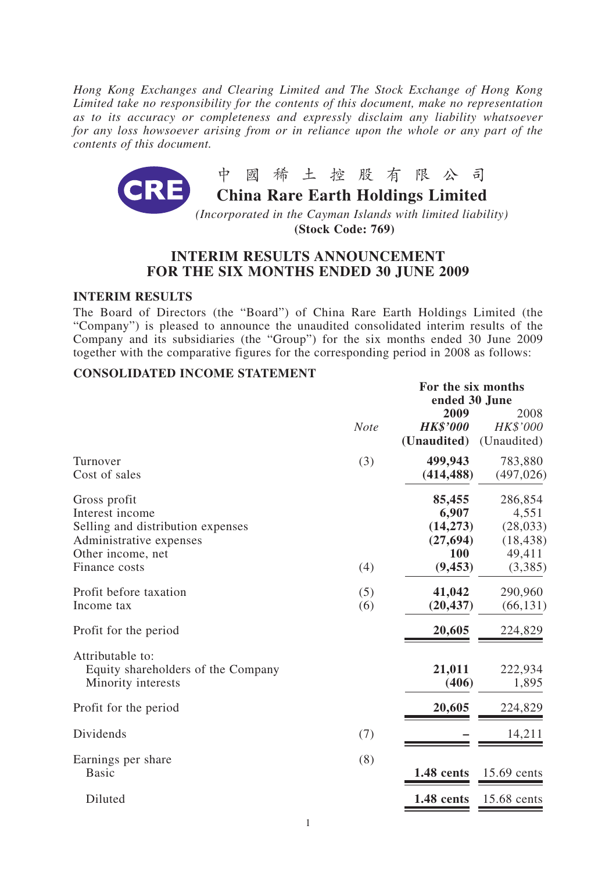*Hong Kong Exchanges and Clearing Limited and The Stock Exchange of Hong Kong Limited take no responsibility for the contents of this document, make no representation as to its accuracy or completeness and expressly disclaim any liability whatsoever for any loss howsoever arising from or in reliance upon the whole or any part of the contents of this document.*



**(Stock Code: 769)**

# **INTERIM RESULTS ANNOUNCEMENT FOR THE SIX MONTHS ENDED 30 JUNE 2009**

### **INTERIM RESULTS**

The Board of Directors (the "Board") of China Rare Earth Holdings Limited (the "Company") is pleased to announce the unaudited consolidated interim results of the Company and its subsidiaries (the "Group") for the six months ended 30 June 2009 together with the comparative figures for the corresponding period in 2008 as follows:

# **CONSOLIDATED INCOME STATEMENT**

|                                                                                                                                       |             |                                                              | For the six months<br>ended 30 June                             |  |  |
|---------------------------------------------------------------------------------------------------------------------------------------|-------------|--------------------------------------------------------------|-----------------------------------------------------------------|--|--|
|                                                                                                                                       | <b>Note</b> | 2009<br><b>HK\$'000</b><br>(Unaudited)                       | 2008<br>HK\$'000<br>(Unaudited)                                 |  |  |
| Turnover<br>Cost of sales                                                                                                             | (3)         | 499,943<br>(414, 488)                                        | 783,880<br>(497, 026)                                           |  |  |
| Gross profit<br>Interest income<br>Selling and distribution expenses<br>Administrative expenses<br>Other income, net<br>Finance costs | (4)         | 85,455<br>6,907<br>(14, 273)<br>(27, 694)<br>100<br>(9, 453) | 286,854<br>4,551<br>(28, 033)<br>(18, 438)<br>49,411<br>(3,385) |  |  |
| Profit before taxation<br>Income tax                                                                                                  | (5)<br>(6)  | 41,042<br>(20, 437)                                          | 290,960<br>(66, 131)                                            |  |  |
| Profit for the period                                                                                                                 |             | 20,605                                                       | 224,829                                                         |  |  |
| Attributable to:<br>Equity shareholders of the Company<br>Minority interests                                                          |             | 21,011<br>(406)                                              | 222,934<br>1,895                                                |  |  |
| Profit for the period                                                                                                                 |             | 20,605                                                       | 224,829                                                         |  |  |
| Dividends                                                                                                                             | (7)         |                                                              | 14,211                                                          |  |  |
| Earnings per share<br><b>Basic</b>                                                                                                    | (8)         | 1.48 cents                                                   | 15.69 cents                                                     |  |  |
| Diluted                                                                                                                               |             | 1.48 cents                                                   | 15.68 cents                                                     |  |  |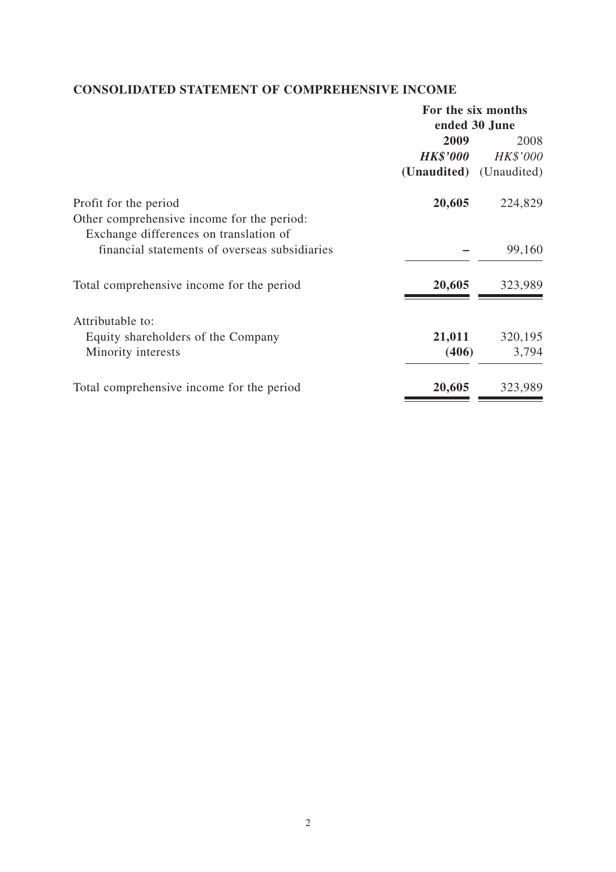# **CONSOLIDATED STATEMENT OF COMPREHENSIVE INCOME**

|                                               | For the six months      |          |  |
|-----------------------------------------------|-------------------------|----------|--|
|                                               | ended 30 June           |          |  |
|                                               | 2009                    | 2008     |  |
|                                               | <b>HK\$'000</b>         | HK\$'000 |  |
|                                               | (Unaudited) (Unaudited) |          |  |
| Profit for the period                         | 20,605                  | 224,829  |  |
| Other comprehensive income for the period:    |                         |          |  |
| Exchange differences on translation of        |                         |          |  |
| financial statements of overseas subsidiaries |                         | 99,160   |  |
| Total comprehensive income for the period     | 20,605                  | 323,989  |  |
| Attributable to:                              |                         |          |  |
| Equity shareholders of the Company            | 21,011                  | 320,195  |  |
| Minority interests                            | (406)                   | 3,794    |  |
| Total comprehensive income for the period     | 20,605                  | 323,989  |  |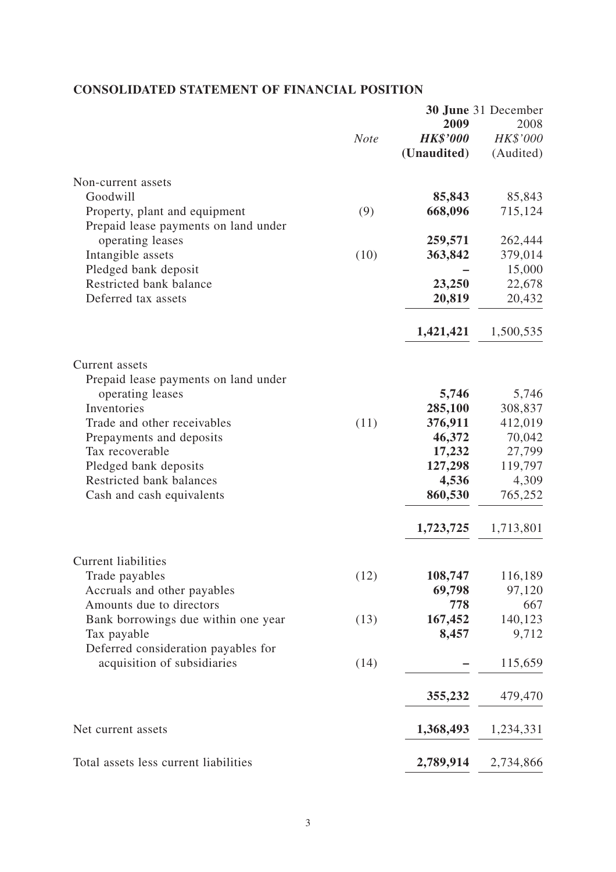# **CONSOLIDATED STATEMENT OF FINANCIAL POSITION**

|                                                                       |             |                 | <b>30 June</b> 31 December |
|-----------------------------------------------------------------------|-------------|-----------------|----------------------------|
|                                                                       |             | 2009            | 2008                       |
|                                                                       | <b>Note</b> | <b>HK\$'000</b> | HK\$'000                   |
|                                                                       |             | (Unaudited)     | (Audited)                  |
| Non-current assets                                                    |             |                 |                            |
| Goodwill                                                              |             | 85,843          | 85,843                     |
| Property, plant and equipment<br>Prepaid lease payments on land under | (9)         | 668,096         | 715,124                    |
| operating leases                                                      |             | 259,571         | 262,444                    |
| Intangible assets                                                     | (10)        | 363,842         | 379,014                    |
| Pledged bank deposit                                                  |             |                 | 15,000                     |
| Restricted bank balance                                               |             | 23,250          | 22,678                     |
| Deferred tax assets                                                   |             | 20,819          | 20,432                     |
|                                                                       |             | 1,421,421       | 1,500,535                  |
| Current assets                                                        |             |                 |                            |
| Prepaid lease payments on land under<br>operating leases              |             | 5,746           | 5,746                      |
| Inventories                                                           |             | 285,100         | 308,837                    |
| Trade and other receivables                                           | (11)        | 376,911         | 412,019                    |
| Prepayments and deposits                                              |             | 46,372          | 70,042                     |
| Tax recoverable                                                       |             | 17,232          | 27,799                     |
| Pledged bank deposits                                                 |             | 127,298         | 119,797                    |
| Restricted bank balances                                              |             | 4,536           | 4,309                      |
| Cash and cash equivalents                                             |             | 860,530         | 765,252                    |
|                                                                       |             | 1,723,725       | 1,713,801                  |
| <b>Current liabilities</b>                                            |             |                 |                            |
| Trade payables                                                        | (12)        | 108,747         | 116,189                    |
| Accruals and other payables                                           |             | 69,798          | 97,120                     |
| Amounts due to directors                                              |             | 778             | 667                        |
| Bank borrowings due within one year                                   | (13)        | 167,452         | 140,123                    |
| Tax payable<br>Deferred consideration payables for                    |             | 8,457           | 9,712                      |
| acquisition of subsidiaries                                           | (14)        |                 | 115,659                    |
|                                                                       |             | 355,232         | 479,470                    |
| Net current assets                                                    |             | 1,368,493       | 1,234,331                  |
| Total assets less current liabilities                                 |             | 2,789,914       | 2,734,866                  |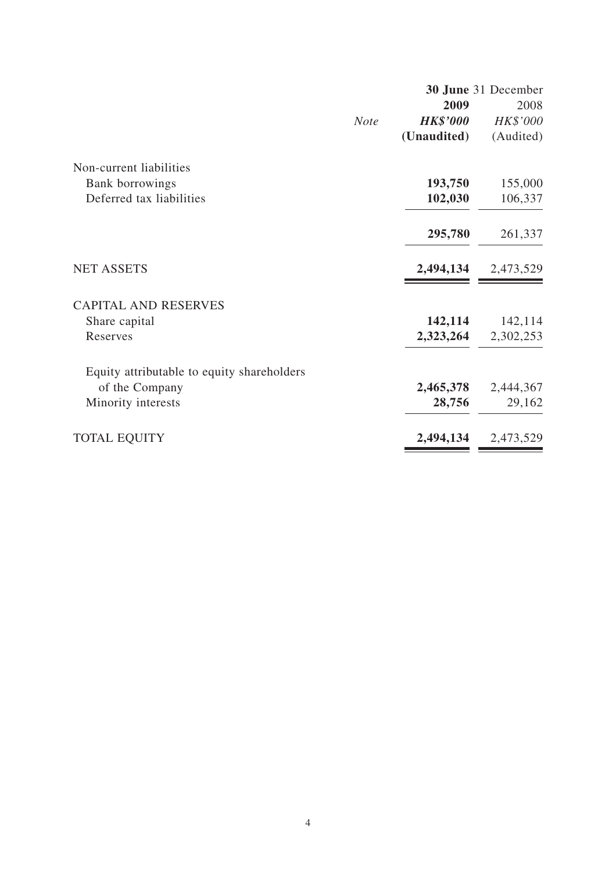|                                            |             |                 | 30 June 31 December |
|--------------------------------------------|-------------|-----------------|---------------------|
|                                            |             | 2009            | 2008                |
|                                            | <b>Note</b> | <b>HK\$'000</b> | HK\$'000            |
|                                            |             | (Unaudited)     | (Audited)           |
| Non-current liabilities                    |             |                 |                     |
| Bank borrowings                            |             | 193,750         | 155,000             |
| Deferred tax liabilities                   |             | 102,030         | 106,337             |
|                                            |             | 295,780         | 261,337             |
| <b>NET ASSETS</b>                          |             | 2,494,134       | 2,473,529           |
| <b>CAPITAL AND RESERVES</b>                |             |                 |                     |
| Share capital                              |             | 142,114         | 142,114             |
| Reserves                                   |             | 2,323,264       | 2,302,253           |
| Equity attributable to equity shareholders |             |                 |                     |
| of the Company                             |             | 2,465,378       | 2,444,367           |
| Minority interests                         |             | 28,756          | 29,162              |
| <b>TOTAL EQUITY</b>                        |             | 2,494,134       | 2,473,529           |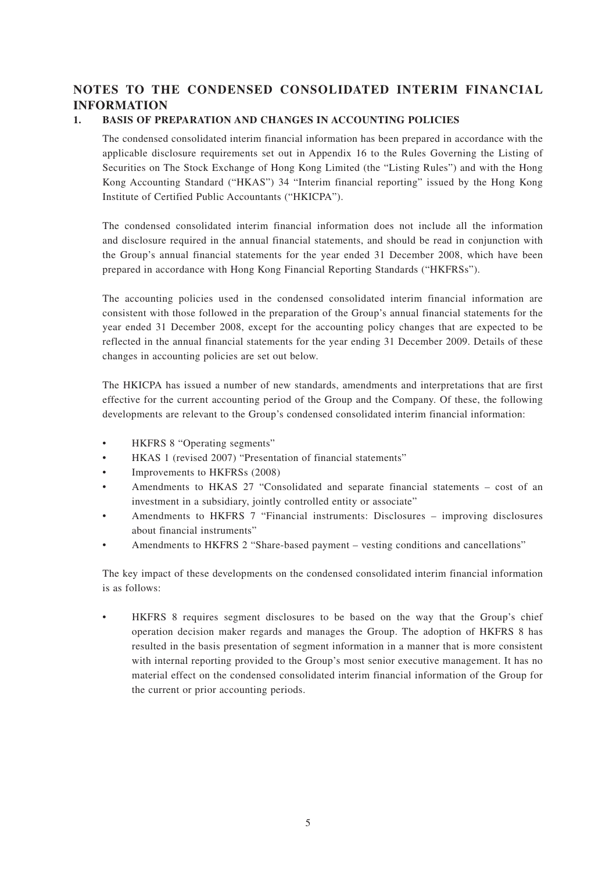# **NOTES TO THE CONDENSED CONSOLIDATED INTERIM FINANCIAL INFORMATION**

### **1. BASIS OF PREPARATION AND CHANGES IN ACCOUNTING POLICIES**

The condensed consolidated interim financial information has been prepared in accordance with the applicable disclosure requirements set out in Appendix 16 to the Rules Governing the Listing of Securities on The Stock Exchange of Hong Kong Limited (the "Listing Rules") and with the Hong Kong Accounting Standard ("HKAS") 34 "Interim financial reporting" issued by the Hong Kong Institute of Certified Public Accountants ("HKICPA").

The condensed consolidated interim financial information does not include all the information and disclosure required in the annual financial statements, and should be read in conjunction with the Group's annual financial statements for the year ended 31 December 2008, which have been prepared in accordance with Hong Kong Financial Reporting Standards ("HKFRSs").

The accounting policies used in the condensed consolidated interim financial information are consistent with those followed in the preparation of the Group's annual financial statements for the year ended 31 December 2008, except for the accounting policy changes that are expected to be reflected in the annual financial statements for the year ending 31 December 2009. Details of these changes in accounting policies are set out below.

The HKICPA has issued a number of new standards, amendments and interpretations that are first effective for the current accounting period of the Group and the Company. Of these, the following developments are relevant to the Group's condensed consolidated interim financial information:

- HKFRS 8 "Operating segments"
- HKAS 1 (revised 2007) "Presentation of financial statements"
- Improvements to HKFRSs (2008)
- Amendments to HKAS 27 "Consolidated and separate financial statements cost of an investment in a subsidiary, jointly controlled entity or associate"
- Amendments to HKFRS 7 "Financial instruments: Disclosures improving disclosures about financial instruments"
- Amendments to HKFRS 2 "Share-based payment vesting conditions and cancellations"

The key impact of these developments on the condensed consolidated interim financial information is as follows:

HKFRS 8 requires segment disclosures to be based on the way that the Group's chief operation decision maker regards and manages the Group. The adoption of HKFRS 8 has resulted in the basis presentation of segment information in a manner that is more consistent with internal reporting provided to the Group's most senior executive management. It has no material effect on the condensed consolidated interim financial information of the Group for the current or prior accounting periods.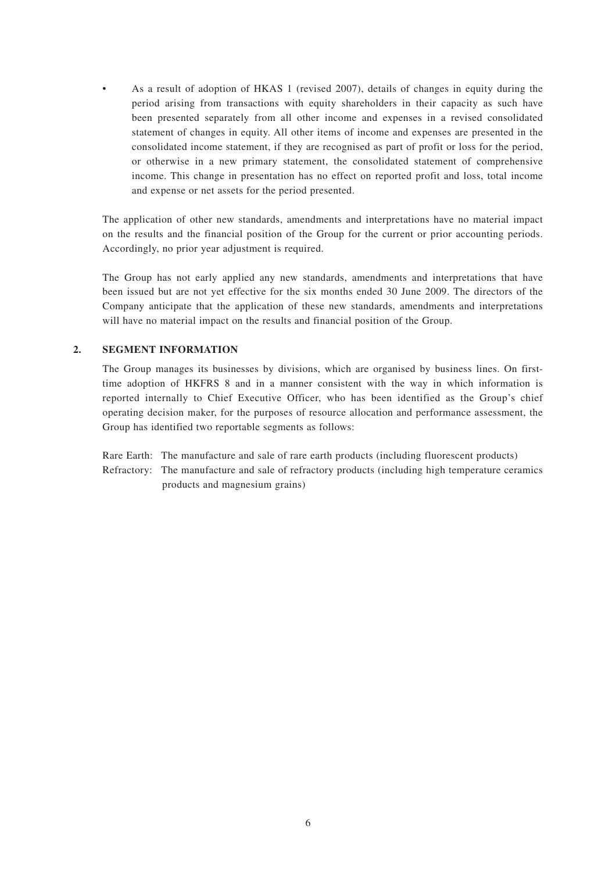• As a result of adoption of HKAS 1 (revised 2007), details of changes in equity during the period arising from transactions with equity shareholders in their capacity as such have been presented separately from all other income and expenses in a revised consolidated statement of changes in equity. All other items of income and expenses are presented in the consolidated income statement, if they are recognised as part of profit or loss for the period, or otherwise in a new primary statement, the consolidated statement of comprehensive income. This change in presentation has no effect on reported profit and loss, total income and expense or net assets for the period presented.

The application of other new standards, amendments and interpretations have no material impact on the results and the financial position of the Group for the current or prior accounting periods. Accordingly, no prior year adjustment is required.

The Group has not early applied any new standards, amendments and interpretations that have been issued but are not yet effective for the six months ended 30 June 2009. The directors of the Company anticipate that the application of these new standards, amendments and interpretations will have no material impact on the results and financial position of the Group.

#### **2. SEGMENT INFORMATION**

The Group manages its businesses by divisions, which are organised by business lines. On firsttime adoption of HKFRS 8 and in a manner consistent with the way in which information is reported internally to Chief Executive Officer, who has been identified as the Group's chief operating decision maker, for the purposes of resource allocation and performance assessment, the Group has identified two reportable segments as follows:

Rare Earth: The manufacture and sale of rare earth products (including fluorescent products) Refractory: The manufacture and sale of refractory products (including high temperature ceramics products and magnesium grains)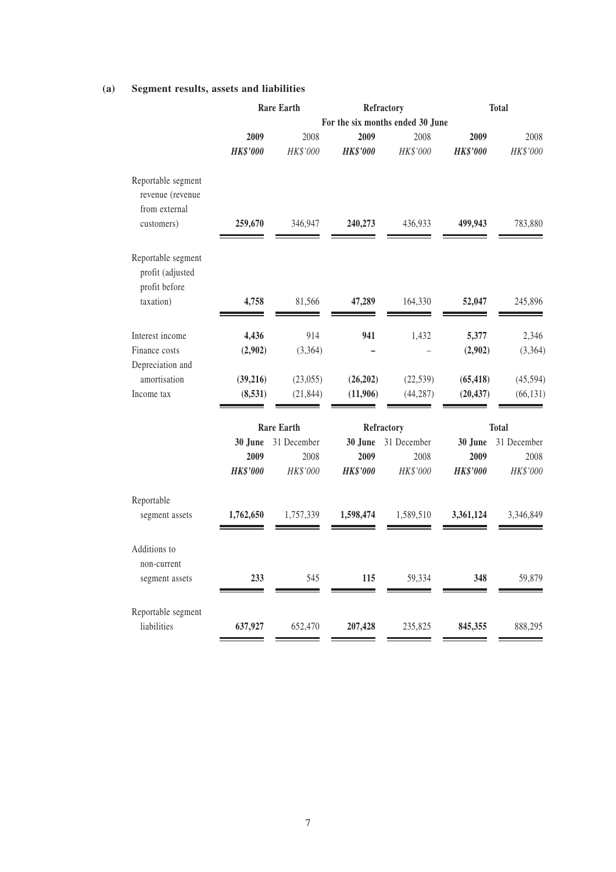### **(a) Segment results, assets and liabilities**

|                                   | <b>Rare Earth</b><br>Refractory  |                   |                 | <b>Total</b> |                 |              |
|-----------------------------------|----------------------------------|-------------------|-----------------|--------------|-----------------|--------------|
|                                   | For the six months ended 30 June |                   |                 |              |                 |              |
|                                   | 2009                             | 2008              | 2009            | 2008         | 2009            | 2008         |
|                                   | <b>HK\$'000</b>                  | HK\$'000          | <b>HK\$'000</b> | HK\$'000     | <b>HK\$'000</b> | HK\$'000     |
| Reportable segment                |                                  |                   |                 |              |                 |              |
| revenue (revenue                  |                                  |                   |                 |              |                 |              |
| from external                     |                                  |                   |                 |              |                 |              |
| customers)                        | 259,670                          | 346,947           | 240,273         | 436,933      | 499,943         | 783,880      |
| Reportable segment                |                                  |                   |                 |              |                 |              |
| profit (adjusted<br>profit before |                                  |                   |                 |              |                 |              |
| taxation)                         | 4,758                            | 81,566            | 47,289          | 164,330      | 52,047          | 245,896      |
|                                   |                                  |                   |                 |              |                 |              |
| Interest income                   | 4,436                            | 914               | 941             | 1,432        | 5,377           | 2,346        |
| Finance costs                     | (2,902)                          | (3,364)           |                 |              | (2,902)         | (3,364)      |
| Depreciation and                  |                                  |                   |                 |              |                 |              |
| amortisation                      | (39,216)                         | (23, 055)         | (26, 202)       | (22, 539)    | (65, 418)       | (45, 594)    |
| Income tax                        | (8,531)                          | (21, 844)         | (11,906)        | (44, 287)    | (20, 437)       | (66, 131)    |
|                                   |                                  | <b>Rare Earth</b> |                 | Refractory   |                 | <b>Total</b> |
|                                   | 30 June                          | 31 December       | 30 June         | 31 December  | 30 June         | 31 December  |
|                                   | 2009                             | 2008              | 2009            | 2008         | 2009            | 2008         |
|                                   | <b>HK\$'000</b>                  | HK\$'000          | <b>HK\$'000</b> | HK\$'000     | <b>HK\$'000</b> | HK\$'000     |
| Reportable                        |                                  |                   |                 |              |                 |              |
| segment assets                    | 1,762,650                        | 1,757,339         | 1,598,474       | 1,589,510    | 3,361,124       | 3,346,849    |
| Additions to                      |                                  |                   |                 |              |                 |              |
| non-current                       |                                  |                   |                 |              |                 |              |
| segment assets                    | 233                              | 545               | 115             | 59,334       | 348             | 59,879       |
| Reportable segment                |                                  |                   |                 |              |                 |              |
| liabilities                       | 637,927                          | 652,470           | 207,428         | 235,825      | 845,355         | 888,295      |
|                                   |                                  |                   |                 |              |                 |              |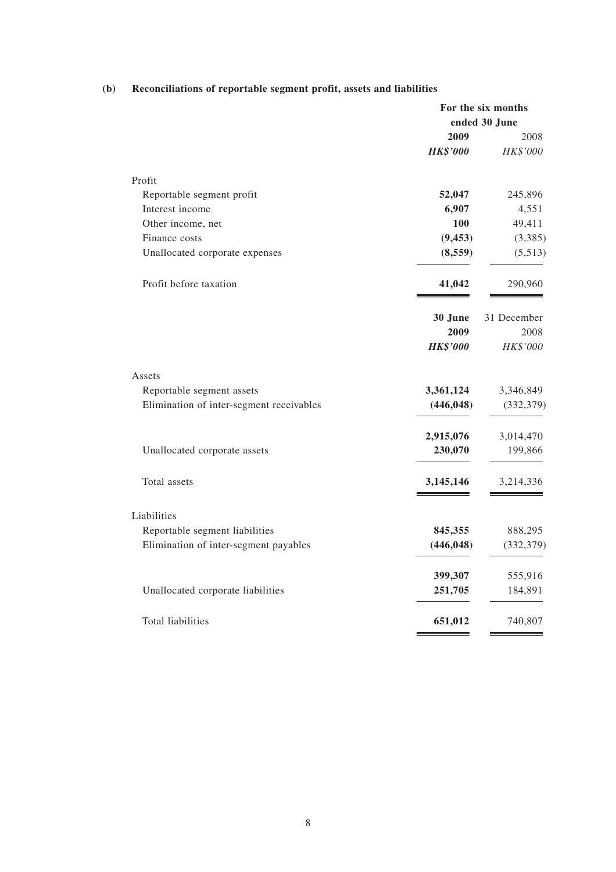|                                          | For the six months |             |  |
|------------------------------------------|--------------------|-------------|--|
|                                          | ended 30 June      |             |  |
|                                          | 2009               | 2008        |  |
|                                          | <b>HK\$'000</b>    | HK\$'000    |  |
| Profit                                   |                    |             |  |
| Reportable segment profit                | 52,047             | 245,896     |  |
| Interest income                          | 6,907              | 4,551       |  |
| Other income, net                        | 100                | 49,411      |  |
| Finance costs                            | (9, 453)           | (3,385)     |  |
| Unallocated corporate expenses           | (8,559)            | (5,513)     |  |
| Profit before taxation                   | 41,042             | 290,960     |  |
|                                          | 30 June            | 31 December |  |
|                                          | 2009               | 2008        |  |
|                                          | <b>HK\$'000</b>    | HK\$'000    |  |
| Assets                                   |                    |             |  |
| Reportable segment assets                | 3,361,124          | 3,346,849   |  |
| Elimination of inter-segment receivables | (446, 048)         | (332, 379)  |  |
|                                          | 2,915,076          | 3,014,470   |  |
| Unallocated corporate assets             | 230,070            | 199,866     |  |
| Total assets                             | 3,145,146          | 3,214,336   |  |
| Liabilities                              |                    |             |  |
| Reportable segment liabilities           | 845,355            | 888,295     |  |
| Elimination of inter-segment payables    | (446, 048)         | (332, 379)  |  |
|                                          | 399,307            | 555,916     |  |
| Unallocated corporate liabilities        | 251,705            | 184,891     |  |
| Total liabilities                        | 651,012            | 740,807     |  |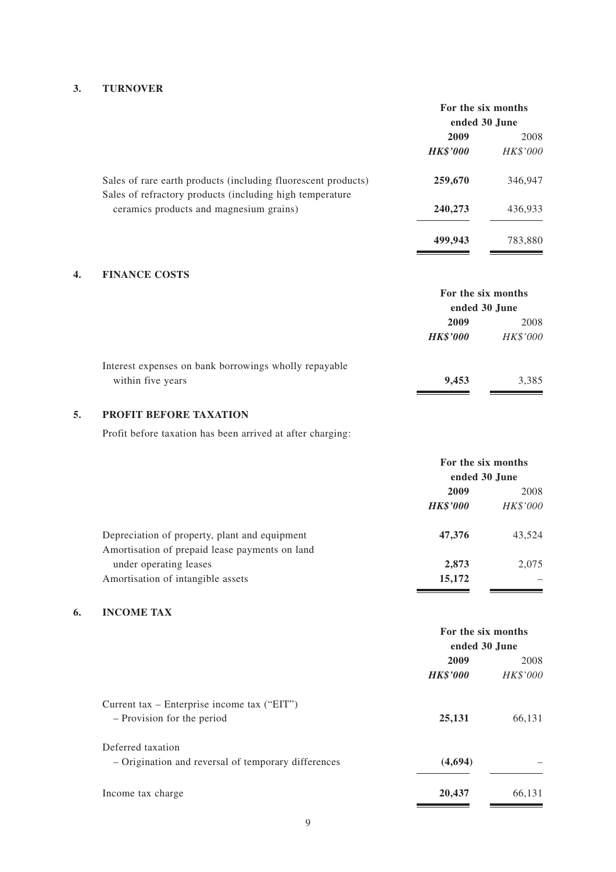### **3. TURNOVER**

|                                                                                                                           | For the six months<br>ended 30 June |          |
|---------------------------------------------------------------------------------------------------------------------------|-------------------------------------|----------|
|                                                                                                                           | 2009<br>2008                        |          |
|                                                                                                                           | <b>HK\$'000</b>                     | HK\$'000 |
| Sales of rare earth products (including fluorescent products)<br>Sales of refractory products (including high temperature | 259,670                             | 346,947  |
| ceramics products and magnesium grains)                                                                                   | 240,273                             | 436,933  |
|                                                                                                                           | 499,943                             | 783,880  |

### **4. FINANCE COSTS**

|                                                       | For the six months<br>ended 30 June |          |
|-------------------------------------------------------|-------------------------------------|----------|
|                                                       |                                     |          |
|                                                       | 2009                                | 2008     |
|                                                       | <b>HK\$'000</b>                     | HK\$'000 |
| Interest expenses on bank borrowings wholly repayable |                                     |          |
| within five years                                     | 9.453                               | 3,385    |
|                                                       |                                     |          |

### **5. PROFIT BEFORE TAXATION**

Profit before taxation has been arrived at after charging:

|                                                                          | For the six months<br>ended 30 June |                 |
|--------------------------------------------------------------------------|-------------------------------------|-----------------|
|                                                                          |                                     |                 |
|                                                                          | 2009                                | 2008            |
|                                                                          | <b>HK\$'000</b>                     | <i>HK\$'000</i> |
| Depreciation of property, plant and equipment                            | 47,376                              | 43,524          |
| Amortisation of prepaid lease payments on land<br>under operating leases | 2,873                               | 2.075           |
| Amortisation of intangible assets                                        | 15,172                              |                 |

### **6. INCOME TAX**

|                                                     | For the six months<br>ended 30 June |          |
|-----------------------------------------------------|-------------------------------------|----------|
|                                                     | 2009                                | 2008     |
|                                                     | <b>HK\$'000</b>                     | HK\$'000 |
| Current tax – Enterprise income tax ("EIT")         |                                     |          |
| - Provision for the period                          | 25,131                              | 66,131   |
| Deferred taxation                                   |                                     |          |
| - Origination and reversal of temporary differences | (4,694)                             |          |
| Income tax charge                                   | 20,437                              | 66,131   |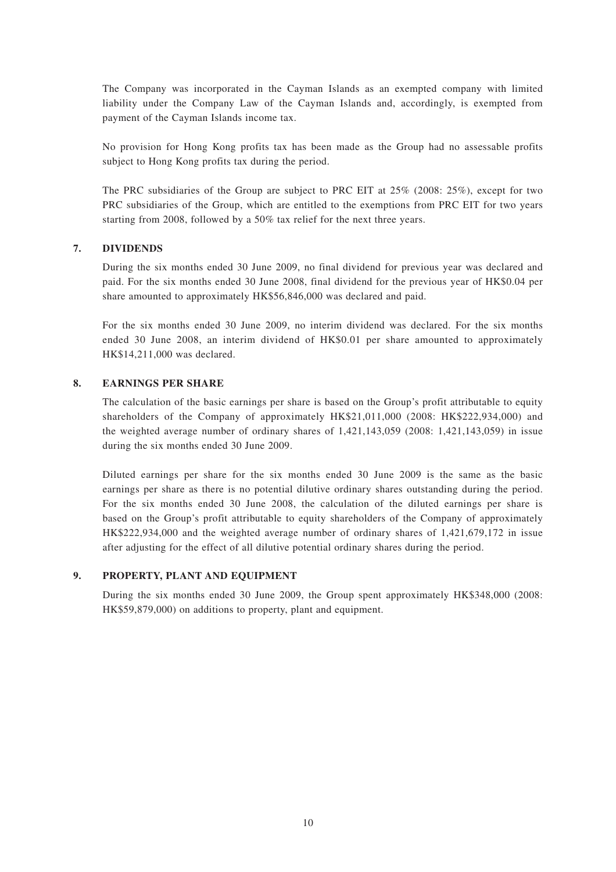The Company was incorporated in the Cayman Islands as an exempted company with limited liability under the Company Law of the Cayman Islands and, accordingly, is exempted from payment of the Cayman Islands income tax.

No provision for Hong Kong profits tax has been made as the Group had no assessable profits subject to Hong Kong profits tax during the period.

The PRC subsidiaries of the Group are subject to PRC EIT at 25% (2008: 25%), except for two PRC subsidiaries of the Group, which are entitled to the exemptions from PRC EIT for two years starting from 2008, followed by a 50% tax relief for the next three years.

#### **7. DIVIDENDS**

During the six months ended 30 June 2009, no final dividend for previous year was declared and paid. For the six months ended 30 June 2008, final dividend for the previous year of HK\$0.04 per share amounted to approximately HK\$56,846,000 was declared and paid.

For the six months ended 30 June 2009, no interim dividend was declared. For the six months ended 30 June 2008, an interim dividend of HK\$0.01 per share amounted to approximately HK\$14,211,000 was declared.

#### **8. EARNINGS PER SHARE**

The calculation of the basic earnings per share is based on the Group's profit attributable to equity shareholders of the Company of approximately HK\$21,011,000 (2008: HK\$222,934,000) and the weighted average number of ordinary shares of 1,421,143,059 (2008: 1,421,143,059) in issue during the six months ended 30 June 2009.

Diluted earnings per share for the six months ended 30 June 2009 is the same as the basic earnings per share as there is no potential dilutive ordinary shares outstanding during the period. For the six months ended 30 June 2008, the calculation of the diluted earnings per share is based on the Group's profit attributable to equity shareholders of the Company of approximately HK\$222,934,000 and the weighted average number of ordinary shares of 1,421,679,172 in issue after adjusting for the effect of all dilutive potential ordinary shares during the period.

#### **9. PROPERTY, PLANT AND EQUIPMENT**

During the six months ended 30 June 2009, the Group spent approximately HK\$348,000 (2008: HK\$59,879,000) on additions to property, plant and equipment.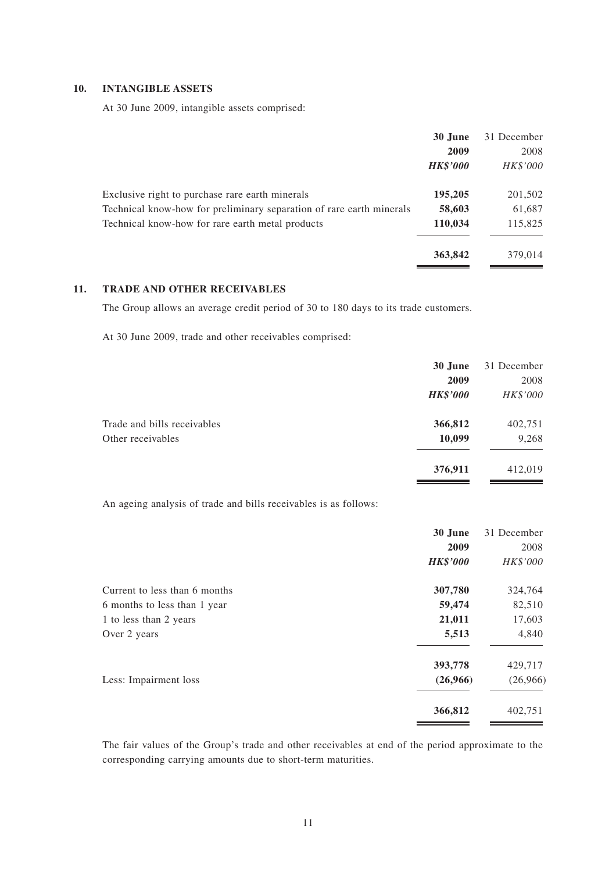### **10. INTANGIBLE ASSETS**

At 30 June 2009, intangible assets comprised:

|                                                                      | 30 June                 | 31 December             |
|----------------------------------------------------------------------|-------------------------|-------------------------|
|                                                                      | 2009<br><b>HK\$'000</b> | 2008<br><i>HK\$'000</i> |
|                                                                      |                         |                         |
| Exclusive right to purchase rare earth minerals                      | 195,205                 | 201,502                 |
| Technical know-how for preliminary separation of rare earth minerals | 58,603                  | 61,687                  |
| Technical know-how for rare earth metal products                     | 110,034                 | 115,825                 |
|                                                                      |                         |                         |
|                                                                      | 363,842                 | 379,014                 |

# **11. TRADE AND OTHER RECEIVABLES**

The Group allows an average credit period of 30 to 180 days to its trade customers.

At 30 June 2009, trade and other receivables comprised:

|                             | 30 June         | 31 December |
|-----------------------------|-----------------|-------------|
|                             | 2009            | 2008        |
|                             | <b>HK\$'000</b> | HK\$'000    |
| Trade and bills receivables | 366,812         | 402,751     |
| Other receivables           | 10,099          | 9,268       |
|                             | 376,911         | 412,019     |

An ageing analysis of trade and bills receivables is as follows:

|                               | 30 June         | 31 December |
|-------------------------------|-----------------|-------------|
|                               | 2009            | 2008        |
|                               | <b>HK\$'000</b> | HK\$'000    |
| Current to less than 6 months | 307,780         | 324,764     |
| 6 months to less than 1 year  | 59,474          | 82,510      |
| 1 to less than 2 years        | 21,011          | 17,603      |
| Over 2 years                  | 5,513           | 4,840       |
|                               | 393,778         | 429,717     |
| Less: Impairment loss         | (26,966)        | (26,966)    |
|                               | 366,812         | 402,751     |
|                               |                 |             |

The fair values of the Group's trade and other receivables at end of the period approximate to the corresponding carrying amounts due to short-term maturities.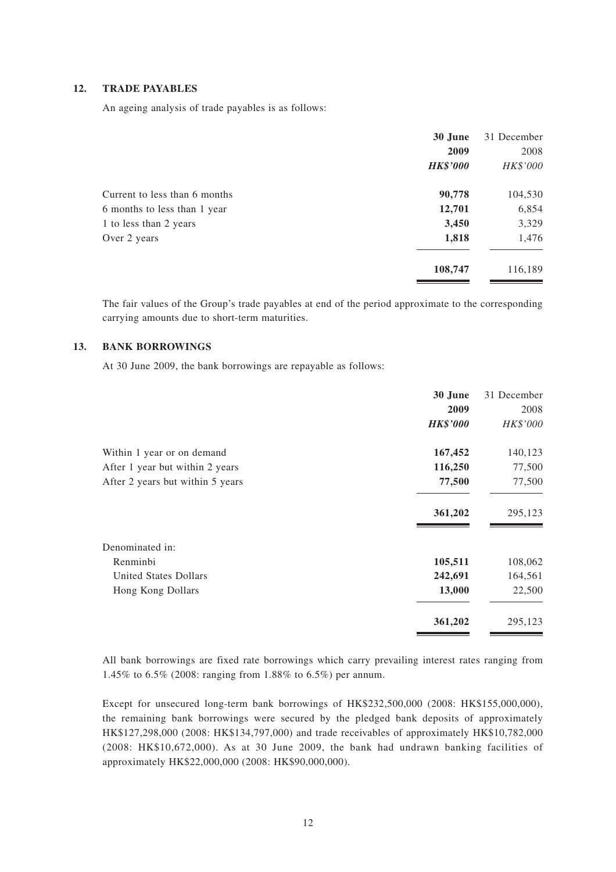#### **12. TRADE PAYABLES**

An ageing analysis of trade payables is as follows:

|                               | 30 June         | 31 December |
|-------------------------------|-----------------|-------------|
|                               | 2009            | 2008        |
|                               | <b>HK\$'000</b> | HK\$'000    |
| Current to less than 6 months | 90,778          | 104,530     |
| 6 months to less than 1 year  | 12,701          | 6,854       |
| 1 to less than 2 years        | 3,450           | 3,329       |
| Over 2 years                  | 1,818           | 1,476       |
|                               | 108,747         | 116,189     |

The fair values of the Group's trade payables at end of the period approximate to the corresponding carrying amounts due to short-term maturities.

#### **13. BANK BORROWINGS**

At 30 June 2009, the bank borrowings are repayable as follows:

|                                  | 30 June         | 31 December |
|----------------------------------|-----------------|-------------|
|                                  | 2009            | 2008        |
|                                  | <b>HK\$'000</b> | HK\$'000    |
| Within 1 year or on demand       | 167,452         | 140,123     |
| After 1 year but within 2 years  | 116,250         | 77,500      |
| After 2 years but within 5 years | 77,500          | 77,500      |
|                                  | 361,202         | 295,123     |
| Denominated in:                  |                 |             |
| Renminbi                         | 105,511         | 108,062     |
| <b>United States Dollars</b>     | 242,691         | 164,561     |
| Hong Kong Dollars                | 13,000          | 22,500      |
|                                  | 361,202         | 295,123     |

All bank borrowings are fixed rate borrowings which carry prevailing interest rates ranging from 1.45% to 6.5% (2008: ranging from 1.88% to 6.5%) per annum.

Except for unsecured long-term bank borrowings of HK\$232,500,000 (2008: HK\$155,000,000), the remaining bank borrowings were secured by the pledged bank deposits of approximately HK\$127,298,000 (2008: HK\$134,797,000) and trade receivables of approximately HK\$10,782,000 (2008: HK\$10,672,000). As at 30 June 2009, the bank had undrawn banking facilities of approximately HK\$22,000,000 (2008: HK\$90,000,000).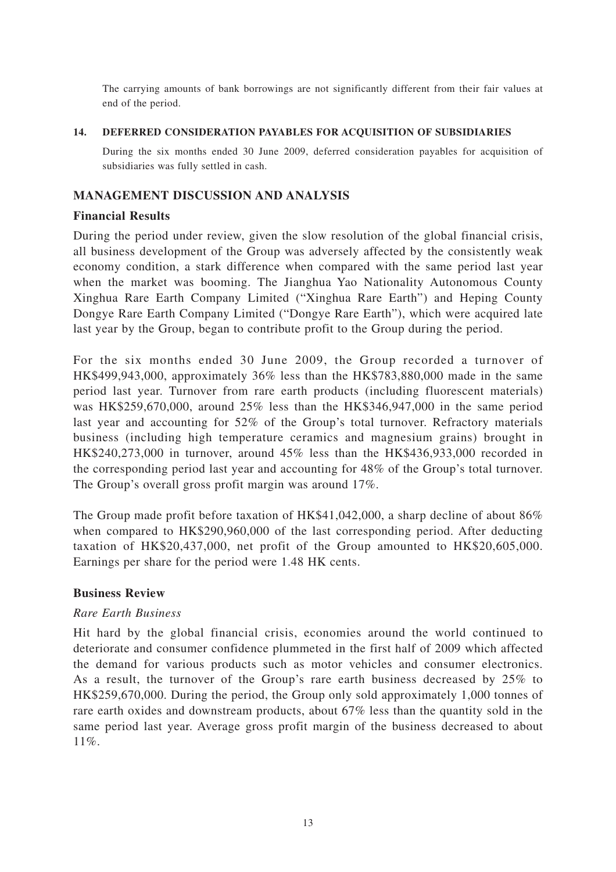The carrying amounts of bank borrowings are not significantly different from their fair values at end of the period.

**14. DEFERRED CONSIDERATION PAYABLES FOR ACQUISITION OF SUBSIDIARIES** During the six months ended 30 June 2009, deferred consideration payables for acquisition of

# **MANAGEMENT DISCUSSION AND ANALYSIS**

subsidiaries was fully settled in cash.

### **Financial Results**

During the period under review, given the slow resolution of the global financial crisis, all business development of the Group was adversely affected by the consistently weak economy condition, a stark difference when compared with the same period last year when the market was booming. The Jianghua Yao Nationality Autonomous County Xinghua Rare Earth Company Limited ("Xinghua Rare Earth") and Heping County Dongye Rare Earth Company Limited ("Dongye Rare Earth"), which were acquired late last year by the Group, began to contribute profit to the Group during the period.

For the six months ended 30 June 2009, the Group recorded a turnover of HK\$499,943,000, approximately 36% less than the HK\$783,880,000 made in the same period last year. Turnover from rare earth products (including fluorescent materials) was HK\$259,670,000, around 25% less than the HK\$346,947,000 in the same period last year and accounting for 52% of the Group's total turnover. Refractory materials business (including high temperature ceramics and magnesium grains) brought in HK\$240,273,000 in turnover, around 45% less than the HK\$436,933,000 recorded in the corresponding period last year and accounting for 48% of the Group's total turnover. The Group's overall gross profit margin was around 17%.

The Group made profit before taxation of HK\$41,042,000, a sharp decline of about 86% when compared to HK\$290,960,000 of the last corresponding period. After deducting taxation of HK\$20,437,000, net profit of the Group amounted to HK\$20,605,000. Earnings per share for the period were 1.48 HK cents.

### **Business Review**

#### *Rare Earth Business*

Hit hard by the global financial crisis, economies around the world continued to deteriorate and consumer confidence plummeted in the first half of 2009 which affected the demand for various products such as motor vehicles and consumer electronics. As a result, the turnover of the Group's rare earth business decreased by 25% to HK\$259,670,000. During the period, the Group only sold approximately 1,000 tonnes of rare earth oxides and downstream products, about 67% less than the quantity sold in the same period last year. Average gross profit margin of the business decreased to about 11%.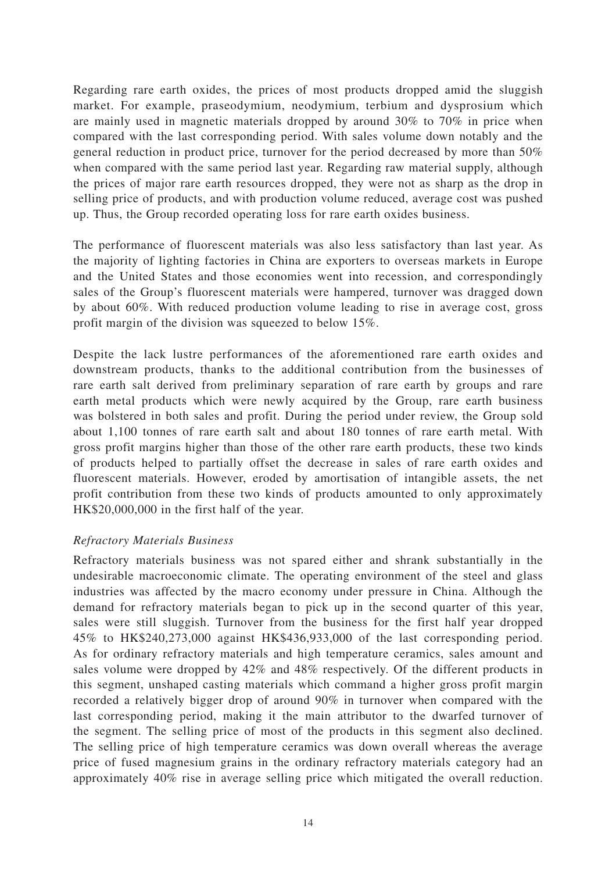Regarding rare earth oxides, the prices of most products dropped amid the sluggish market. For example, praseodymium, neodymium, terbium and dysprosium which are mainly used in magnetic materials dropped by around 30% to 70% in price when compared with the last corresponding period. With sales volume down notably and the general reduction in product price, turnover for the period decreased by more than 50% when compared with the same period last year. Regarding raw material supply, although the prices of major rare earth resources dropped, they were not as sharp as the drop in selling price of products, and with production volume reduced, average cost was pushed up. Thus, the Group recorded operating loss for rare earth oxides business.

The performance of fluorescent materials was also less satisfactory than last year. As the majority of lighting factories in China are exporters to overseas markets in Europe and the United States and those economies went into recession, and correspondingly sales of the Group's fluorescent materials were hampered, turnover was dragged down by about 60%. With reduced production volume leading to rise in average cost, gross profit margin of the division was squeezed to below 15%.

Despite the lack lustre performances of the aforementioned rare earth oxides and downstream products, thanks to the additional contribution from the businesses of rare earth salt derived from preliminary separation of rare earth by groups and rare earth metal products which were newly acquired by the Group, rare earth business was bolstered in both sales and profit. During the period under review, the Group sold about 1,100 tonnes of rare earth salt and about 180 tonnes of rare earth metal. With gross profit margins higher than those of the other rare earth products, these two kinds of products helped to partially offset the decrease in sales of rare earth oxides and fluorescent materials. However, eroded by amortisation of intangible assets, the net profit contribution from these two kinds of products amounted to only approximately HK\$20,000,000 in the first half of the year.

### *Refractory Materials Business*

Refractory materials business was not spared either and shrank substantially in the undesirable macroeconomic climate. The operating environment of the steel and glass industries was affected by the macro economy under pressure in China. Although the demand for refractory materials began to pick up in the second quarter of this year, sales were still sluggish. Turnover from the business for the first half year dropped 45% to HK\$240,273,000 against HK\$436,933,000 of the last corresponding period. As for ordinary refractory materials and high temperature ceramics, sales amount and sales volume were dropped by 42% and 48% respectively. Of the different products in this segment, unshaped casting materials which command a higher gross profit margin recorded a relatively bigger drop of around 90% in turnover when compared with the last corresponding period, making it the main attributor to the dwarfed turnover of the segment. The selling price of most of the products in this segment also declined. The selling price of high temperature ceramics was down overall whereas the average price of fused magnesium grains in the ordinary refractory materials category had an approximately 40% rise in average selling price which mitigated the overall reduction.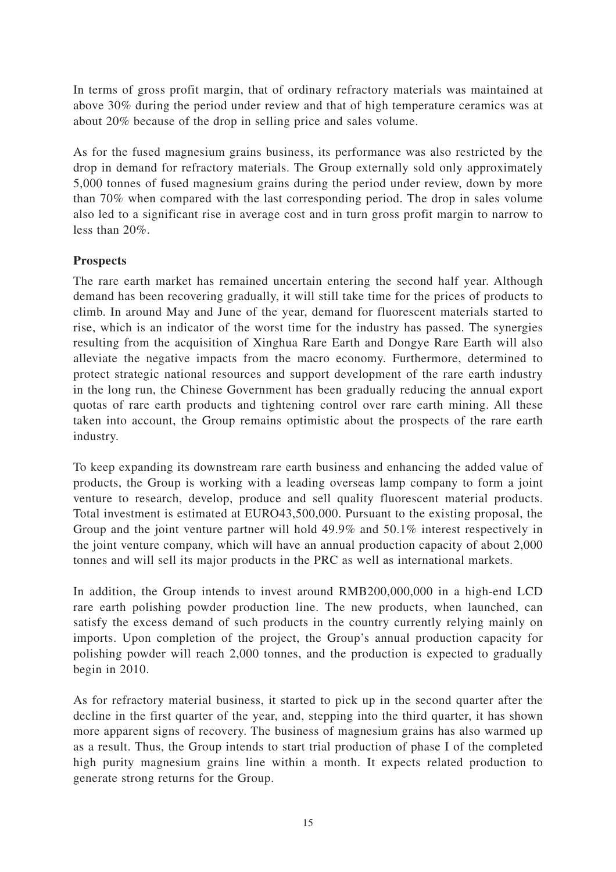In terms of gross profit margin, that of ordinary refractory materials was maintained at above 30% during the period under review and that of high temperature ceramics was at about 20% because of the drop in selling price and sales volume.

As for the fused magnesium grains business, its performance was also restricted by the drop in demand for refractory materials. The Group externally sold only approximately 5,000 tonnes of fused magnesium grains during the period under review, down by more than 70% when compared with the last corresponding period. The drop in sales volume also led to a significant rise in average cost and in turn gross profit margin to narrow to less than 20%.

## **Prospects**

The rare earth market has remained uncertain entering the second half year. Although demand has been recovering gradually, it will still take time for the prices of products to climb. In around May and June of the year, demand for fluorescent materials started to rise, which is an indicator of the worst time for the industry has passed. The synergies resulting from the acquisition of Xinghua Rare Earth and Dongye Rare Earth will also alleviate the negative impacts from the macro economy. Furthermore, determined to protect strategic national resources and support development of the rare earth industry in the long run, the Chinese Government has been gradually reducing the annual export quotas of rare earth products and tightening control over rare earth mining. All these taken into account, the Group remains optimistic about the prospects of the rare earth industry.

To keep expanding its downstream rare earth business and enhancing the added value of products, the Group is working with a leading overseas lamp company to form a joint venture to research, develop, produce and sell quality fluorescent material products. Total investment is estimated at EURO43,500,000. Pursuant to the existing proposal, the Group and the joint venture partner will hold 49.9% and 50.1% interest respectively in the joint venture company, which will have an annual production capacity of about 2,000 tonnes and will sell its major products in the PRC as well as international markets.

In addition, the Group intends to invest around RMB200,000,000 in a high-end LCD rare earth polishing powder production line. The new products, when launched, can satisfy the excess demand of such products in the country currently relying mainly on imports. Upon completion of the project, the Group's annual production capacity for polishing powder will reach 2,000 tonnes, and the production is expected to gradually begin in 2010.

As for refractory material business, it started to pick up in the second quarter after the decline in the first quarter of the year, and, stepping into the third quarter, it has shown more apparent signs of recovery. The business of magnesium grains has also warmed up as a result. Thus, the Group intends to start trial production of phase I of the completed high purity magnesium grains line within a month. It expects related production to generate strong returns for the Group.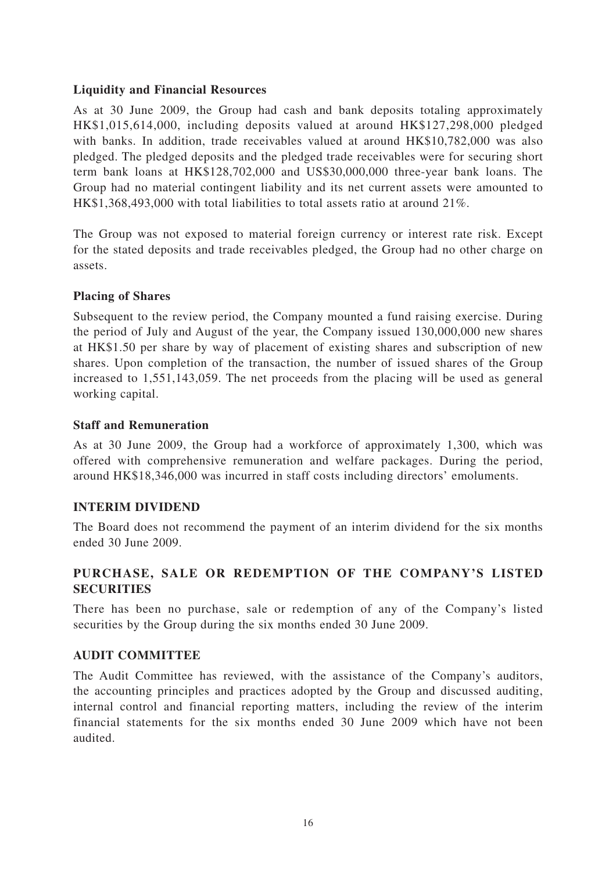# **Liquidity and Financial Resources**

As at 30 June 2009, the Group had cash and bank deposits totaling approximately HK\$1,015,614,000, including deposits valued at around HK\$127,298,000 pledged with banks. In addition, trade receivables valued at around HK\$10,782,000 was also pledged. The pledged deposits and the pledged trade receivables were for securing short term bank loans at HK\$128,702,000 and US\$30,000,000 three-year bank loans. The Group had no material contingent liability and its net current assets were amounted to HK\$1,368,493,000 with total liabilities to total assets ratio at around 21%.

The Group was not exposed to material foreign currency or interest rate risk. Except for the stated deposits and trade receivables pledged, the Group had no other charge on assets.

## **Placing of Shares**

Subsequent to the review period, the Company mounted a fund raising exercise. During the period of July and August of the year, the Company issued 130,000,000 new shares at HK\$1.50 per share by way of placement of existing shares and subscription of new shares. Upon completion of the transaction, the number of issued shares of the Group increased to 1,551,143,059. The net proceeds from the placing will be used as general working capital.

## **Staff and Remuneration**

As at 30 June 2009, the Group had a workforce of approximately 1,300, which was offered with comprehensive remuneration and welfare packages. During the period, around HK\$18,346,000 was incurred in staff costs including directors' emoluments.

# **INTERIM DIVIDEND**

The Board does not recommend the payment of an interim dividend for the six months ended 30 June 2009.

# **PURCHASE, SALE OR REDEMPTION OF THE COMPANY'S LISTED SECURITIES**

There has been no purchase, sale or redemption of any of the Company's listed securities by the Group during the six months ended 30 June 2009.

### **AUDIT COMMITTEE**

The Audit Committee has reviewed, with the assistance of the Company's auditors, the accounting principles and practices adopted by the Group and discussed auditing, internal control and financial reporting matters, including the review of the interim financial statements for the six months ended 30 June 2009 which have not been audited.